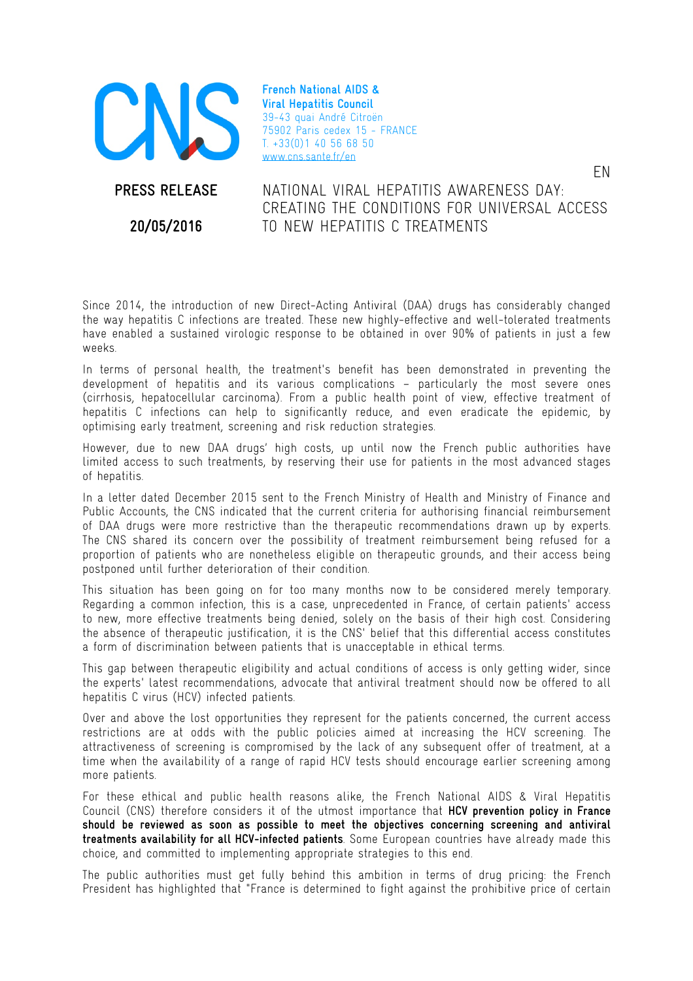

**French National AIDS & Viral Hepatitis Council**  39-43 quai André Citroën 75902 Paris cedex 15 - FRANCE T. +33(0)1 40 56 68 50 www.cns.sante.fr/en

**PRESS RELEASE** 

**20/05/2016** 

NATIONAL VIRAL HEPATITIS AWARENESS DAY: CREATING THE CONDITIONS FOR UNIVERSAL ACCESS TO NEW HEPATITIS C TREATMENTS

EN

Since 2014, the introduction of new Direct-Acting Antiviral (DAA) drugs has considerably changed the way hepatitis C infections are treated. These new highly-effective and well-tolerated treatments have enabled a sustained virologic response to be obtained in over 90% of patients in just a few weeks.

In terms of personal health, the treatment's benefit has been demonstrated in preventing the development of hepatitis and its various complications – particularly the most severe ones (cirrhosis, hepatocellular carcinoma). From a public health point of view, effective treatment of hepatitis C infections can help to significantly reduce, and even eradicate the epidemic, by optimising early treatment, screening and risk reduction strategies.

However, due to new DAA drugs' high costs, up until now the French public authorities have limited access to such treatments, by reserving their use for patients in the most advanced stages of hepatitis.

In a letter dated December 2015 sent to the French Ministry of Health and Ministry of Finance and Public Accounts, the CNS indicated that the current criteria for authorising financial reimbursement of DAA drugs were more restrictive than the therapeutic recommendations drawn up by experts. The CNS shared its concern over the possibility of treatment reimbursement being refused for a proportion of patients who are nonetheless eligible on therapeutic grounds, and their access being postponed until further deterioration of their condition.

This situation has been going on for too many months now to be considered merely temporary. Regarding a common infection, this is a case, unprecedented in France, of certain patients' access to new, more effective treatments being denied, solely on the basis of their high cost. Considering the absence of therapeutic justification, it is the CNS' belief that this differential access constitutes a form of discrimination between patients that is unacceptable in ethical terms.

This gap between therapeutic eligibility and actual conditions of access is only getting wider, since the experts' latest recommendations, advocate that antiviral treatment should now be offered to all hepatitis C virus (HCV) infected patients.

Over and above the lost opportunities they represent for the patients concerned, the current access restrictions are at odds with the public policies aimed at increasing the HCV screening. The attractiveness of screening is compromised by the lack of any subsequent offer of treatment, at a time when the availability of a range of rapid HCV tests should encourage earlier screening among more patients.

For these ethical and public health reasons alike, the French National AIDS & Viral Hepatitis Council (CNS) therefore considers it of the utmost importance that **HCV prevention policy in France should be reviewed as soon as possible to meet the objectives concerning screening and antiviral treatments availability for all HCV-infected patients**. Some European countries have already made this choice, and committed to implementing appropriate strategies to this end.

The public authorities must get fully behind this ambition in terms of drug pricing: the French President has highlighted that "France is determined to fight against the prohibitive price of certain